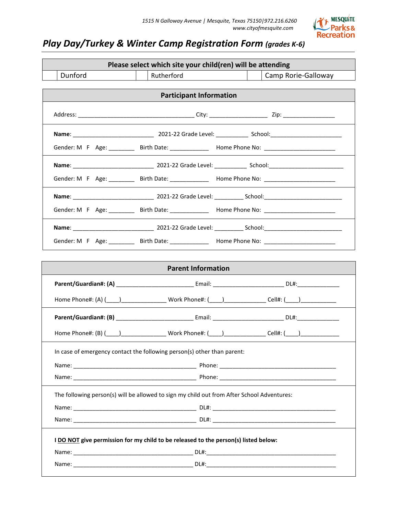

# *Play Day/Turkey & Winter Camp Registration Form (grades K-6)*

|                           | Please select which site your child(ren) will be attending                                 |                                                                                                                                                                                                                                |  |  |  |  |
|---------------------------|--------------------------------------------------------------------------------------------|--------------------------------------------------------------------------------------------------------------------------------------------------------------------------------------------------------------------------------|--|--|--|--|
| Dunford                   | Rutherford                                                                                 | Camp Rorie-Galloway                                                                                                                                                                                                            |  |  |  |  |
|                           | <b>Participant Information</b>                                                             |                                                                                                                                                                                                                                |  |  |  |  |
|                           |                                                                                            |                                                                                                                                                                                                                                |  |  |  |  |
|                           |                                                                                            |                                                                                                                                                                                                                                |  |  |  |  |
|                           |                                                                                            | Gender: M F Age: _________ Birth Date: ____________ Home Phone No: ______________                                                                                                                                              |  |  |  |  |
|                           |                                                                                            |                                                                                                                                                                                                                                |  |  |  |  |
|                           |                                                                                            | Gender: M F Age: ________ Birth Date: ___________ Home Phone No: _______________                                                                                                                                               |  |  |  |  |
|                           |                                                                                            |                                                                                                                                                                                                                                |  |  |  |  |
|                           |                                                                                            | Gender: M F Age: ________ Birth Date: ____________ Home Phone No: _______________                                                                                                                                              |  |  |  |  |
|                           |                                                                                            |                                                                                                                                                                                                                                |  |  |  |  |
|                           |                                                                                            | Gender: M F Age: __________ Birth Date: _____________ Home Phone No: ______________________________                                                                                                                            |  |  |  |  |
|                           |                                                                                            |                                                                                                                                                                                                                                |  |  |  |  |
| <b>Parent Information</b> |                                                                                            |                                                                                                                                                                                                                                |  |  |  |  |
|                           |                                                                                            |                                                                                                                                                                                                                                |  |  |  |  |
|                           |                                                                                            | Home Phone#: (A) (____)___________________Work Phone#: (____)__________________Cell#: (____)_____________                                                                                                                      |  |  |  |  |
|                           |                                                                                            |                                                                                                                                                                                                                                |  |  |  |  |
|                           |                                                                                            | Home Phone#: (B) (\equal (\equal ) \equal (\equal ) \equal Work Phone#: (\equal ) \equal (\equal ) \equal Cell#: (\equal ) \equal Cell (\equal ) \equal Cell +: (\equal ) \equal Cell +: (\equal ) \equal Cell +: (\equal ) \e |  |  |  |  |
|                           | In case of emergency contact the following person(s) other than parent:                    |                                                                                                                                                                                                                                |  |  |  |  |
|                           |                                                                                            |                                                                                                                                                                                                                                |  |  |  |  |
|                           |                                                                                            |                                                                                                                                                                                                                                |  |  |  |  |
|                           | The following person(s) will be allowed to sign my child out from After School Adventures: |                                                                                                                                                                                                                                |  |  |  |  |
|                           |                                                                                            |                                                                                                                                                                                                                                |  |  |  |  |
|                           |                                                                                            |                                                                                                                                                                                                                                |  |  |  |  |
|                           | I DO NOT give permission for my child to be released to the person(s) listed below:        |                                                                                                                                                                                                                                |  |  |  |  |
|                           |                                                                                            |                                                                                                                                                                                                                                |  |  |  |  |
|                           |                                                                                            |                                                                                                                                                                                                                                |  |  |  |  |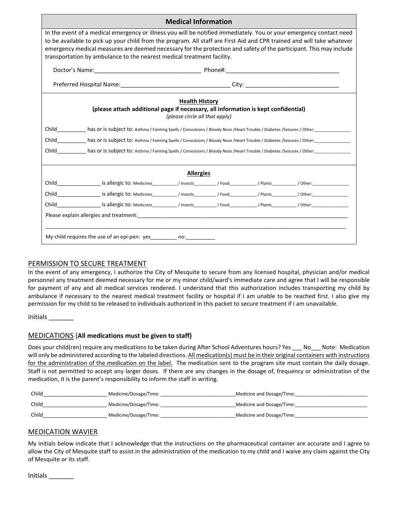| <b>Medical Information</b>                                                                                                                                                                                                                                                                                                                                                                                                                    |  |  |  |  |  |
|-----------------------------------------------------------------------------------------------------------------------------------------------------------------------------------------------------------------------------------------------------------------------------------------------------------------------------------------------------------------------------------------------------------------------------------------------|--|--|--|--|--|
| In the event of a medical emergency or illness you will be notified immediately. You or your emergency contact need<br>to be available to pick up your child from the program. All staff are First Aid and CPR trained and will take whatever<br>emergency medical measures are deemed necessary for the protection and safety of the participant. This may include<br>transportation by ambulance to the nearest medical treatment facility. |  |  |  |  |  |
|                                                                                                                                                                                                                                                                                                                                                                                                                                               |  |  |  |  |  |
|                                                                                                                                                                                                                                                                                                                                                                                                                                               |  |  |  |  |  |
| <b>Health History</b><br>(please attach additional page if necessary, all information is kept confidential)<br>(please circle all that apply)<br>Child has or is subject to: Asthma / Fainting Spells / Convulsions / Bloody Nose /Heart Trouble / Diabetes /Seizures / Other: https://www.marchild.com/2010/2010                                                                                                                             |  |  |  |  |  |
| <b>Allergies</b>                                                                                                                                                                                                                                                                                                                                                                                                                              |  |  |  |  |  |
|                                                                                                                                                                                                                                                                                                                                                                                                                                               |  |  |  |  |  |
|                                                                                                                                                                                                                                                                                                                                                                                                                                               |  |  |  |  |  |
|                                                                                                                                                                                                                                                                                                                                                                                                                                               |  |  |  |  |  |
|                                                                                                                                                                                                                                                                                                                                                                                                                                               |  |  |  |  |  |
| My child requires the use of an epi-pen: yes _________ no: ____________                                                                                                                                                                                                                                                                                                                                                                       |  |  |  |  |  |

## PERMISSION TO SECURE TREATMENT

In the event of any emergency, I authorize the City of Mesquite to secure from any licensed hospital, physician and/or medical personnel any treatment deemed necessary for me or my minor child/ward's immediate care and agree that I will be responsible for payment of any and all medical services rendered. I understand that this authorization includes transporting my child by ambulance if necessary to the nearest medical treatment facility or hospital if I am unable to be reached first. I also give my permission for my child to be released to individuals authorized in this packet to secure treatment if I am unavailable.

Initials \_\_\_\_\_\_\_

## MEDICATIONS (**All medications must be given to staff)**

Does your child(ren) require any medications to be taken during After School Adventures hours? Yes No Note: Medication will only be administered according to the labeled directions. All medication(s) must be in their original containers with instructions for the administration of the medication on the label. The medication sent to the program site must contain the daily dosage. Staff is not permitted to accept any larger doses. If there are any changes in the dosage of, frequency or administration of the medication, it is the parent's responsibility to inform the staff in writing.

| Child | Medicine/Dosage/Time: | Medicine and Dosage/Time: |
|-------|-----------------------|---------------------------|
| Child | Medicine/Dosage/Time: | Medicine and Dosage/Time: |
| Child | Medicine/Dosage/Time: | Medicine and Dosage/Time: |

## MEDICATION WAVIER

My initials below indicate that I acknowledge that the instructions on the pharmaceutical container are accurate and I agree to allow the City of Mesquite staff to assist in the administration of the medication to my child and I waive any claim against the City of Mesquite or its staff.

Initials \_\_\_\_\_\_\_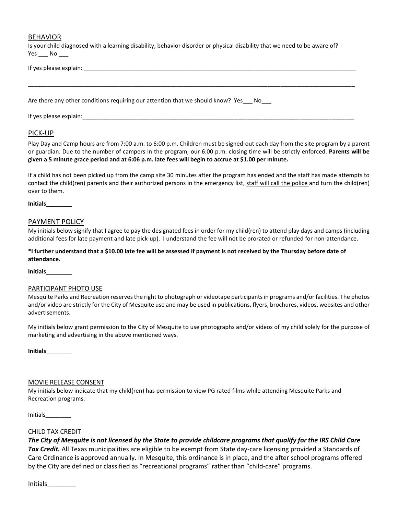## BEHAVIOR

Is your child diagnosed with a learning disability, behavior disorder or physical disability that we need to be aware of?  $Yes$  No \_\_\_\_

\_\_\_\_\_\_\_\_\_\_\_\_\_\_\_\_\_\_\_\_\_\_\_\_\_\_\_\_\_\_\_\_\_\_\_\_\_\_\_\_\_\_\_\_\_\_\_\_\_\_\_\_\_\_\_\_\_\_\_\_\_\_\_\_\_\_\_\_\_\_\_\_\_\_\_\_\_\_\_\_\_\_\_\_\_\_\_\_\_\_\_\_\_\_\_\_\_\_\_\_\_

If yes please explain: \_\_\_\_\_\_\_\_\_\_\_\_\_\_\_\_\_\_\_\_\_\_\_\_\_\_\_\_\_\_\_\_\_\_\_\_\_\_\_\_\_\_\_\_\_\_\_\_\_\_\_\_\_\_\_\_\_\_\_\_\_\_\_\_\_\_\_\_\_\_\_\_\_\_\_\_\_\_\_\_\_\_\_\_

Are there any other conditions requiring our attention that we should know? Yes No

If yes please explain:

## PICK-UP

Play Day and Camp hours are from 7:00 a.m. to 6:00 p.m. Children must be signed-out each day from the site program by a parent or guardian. Due to the number of campers in the program, our 6:00 p.m. closing time will be strictly enforced. **Parents will be given a 5 minute grace period and at 6:06 p.m. late fees will begin to accrue at \$1.00 per minute.**

If a child has not been picked up from the camp site 30 minutes after the program has ended and the staff has made attempts to contact the child(ren) parents and their authorized persons in the emergency list, staff will call the police and turn the child(ren) over to them.

**Initials\_\_\_\_\_\_\_\_**

#### PAYMENT POLICY

My initials below signify that I agree to pay the designated fees in order for my child(ren) to attend play days and camps (including additional fees for late payment and late pick-up). I understand the fee will not be prorated or refunded for non-attendance.

**\*I further understand that a \$10.00 late fee will be assessed if payment is not received by the Thursday before date of attendance.**

**Initials\_\_\_\_\_\_\_\_**

#### PARTICIPANT PHOTO USE

Mesquite Parks and Recreation reserves the right to photograph or videotape participants in programs and/or facilities. The photos and/or video are strictly for the City of Mesquite use and may be used in publications, flyers, brochures, videos, websites and other advertisements.

My initials below grant permission to the City of Mesquite to use photographs and/or videos of my child solely for the purpose of marketing and advertising in the above mentioned ways.

**Initials**\_\_\_\_\_\_\_\_

#### MOVIE RELEASE CONSENT

My initials below indicate that my child(ren) has permission to view PG rated films while attending Mesquite Parks and Recreation programs.

Initials\_\_\_\_\_\_\_\_

## CHILD TAX CREDIT

*The City of Mesquite is not licensed by the State to provide childcare programs that qualify for the IRS Child Care* 

*Tax Credit.* All Texas municipalities are eligible to be exempt from State day-care licensing provided a Standards of Care Ordinance is approved annually. In Mesquite, this ordinance is in place, and the after school programs offered by the City are defined or classified as "recreational programs" rather than "child-care" programs.

Initials\_\_\_\_\_\_\_\_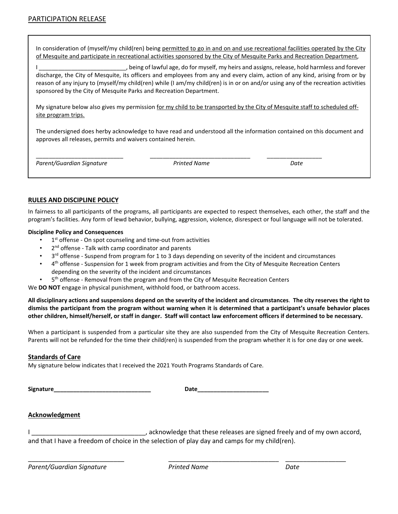In consideration of (myself/my child(ren) being permitted to go in and on and use recreational facilities operated by the City of Mesquite and participate in recreational activities sponsored by the City of Mesquite Parks and Recreation Department,

being of lawful age, do for myself, my heirs and assigns, release, hold harmless and forever discharge, the City of Mesquite, its officers and employees from any and every claim, action of any kind, arising from or by reason of any injury to (myself/my child(ren) while (I am/my child(ren) is in or on and/or using any of the recreation activities sponsored by the City of Mesquite Parks and Recreation Department.

My signature below also gives my permission for my child to be transported by the City of Mesquite staff to scheduled offsite program trips.

The undersigned does herby acknowledge to have read and understood all the information contained on this document and approves all releases, permits and waivers contained herein.

| Parent/Guardian Signature |  |
|---------------------------|--|
|---------------------------|--|

*Parent/Guardian Signature Printed Name Date*

\_\_\_\_\_\_\_\_\_\_\_\_\_\_\_\_\_\_\_\_\_\_\_\_\_\_\_ \_\_\_\_\_\_\_\_\_\_\_\_\_\_\_\_\_\_\_\_\_\_\_\_\_\_\_\_\_\_\_ \_\_\_\_\_\_\_\_\_\_\_\_\_\_\_\_\_

## **RULES AND DISCIPLINE POLICY**

In fairness to all participants of the programs, all participants are expected to respect themselves, each other, the staff and the program's facilities. Any form of lewd behavior, bullying, aggression, violence, disrespect or foul language will not be tolerated.

#### **Discipline Policy and Consequences**

- $1<sup>st</sup>$  offense On spot counseling and time-out from activities
- 2<sup>nd</sup> offense Talk with camp coordinator and parents
- 3<sup>rd</sup> offense Suspend from program for 1 to 3 days depending on severity of the incident and circumstances
- 4th offense Suspension for 1 week from program activities and from the City of Mesquite Recreation Centers depending on the severity of the incident and circumstances
- 5<sup>th</sup> offense Removal from the program and from the City of Mesquite Recreation Centers

We **DO NOT** engage in physical punishment, withhold food, or bathroom access.

**All disciplinary actions and suspensions depend on the severity of the incident and circumstances**. **The city reserves the right to dismiss the participant from the program without warning when it is determined that a participant's unsafe behavior places other children, himself/herself, or staff in danger. Staff will contact law enforcement officers if determined to be necessary.**

When a participant is suspended from a particular site they are also suspended from the City of Mesquite Recreation Centers. Parents will not be refunded for the time their child(ren) is suspended from the program whether it is for one day or one week.

## **Standards of Care**

My signature below indicates that I received the 2021 Youth Programs Standards of Care.

**Signature\_\_\_\_\_\_\_\_\_\_\_\_\_\_\_\_\_\_\_\_\_\_\_\_\_\_\_\_\_\_ Date\_\_\_\_\_\_\_\_\_\_\_\_\_\_\_\_\_\_\_\_\_\_**

## **Acknowledgment**

I \_\_\_\_\_\_\_\_\_\_\_\_\_\_\_\_\_\_\_\_\_\_\_\_\_\_\_\_\_\_\_\_\_\_\_, acknowledge that these releases are signed freely and of my own accord, and that I have a freedom of choice in the selection of play day and camps for my child(ren).

*Parent/Guardian Signature Printed Name Date*

\_\_\_\_\_\_\_\_\_\_\_\_\_\_\_\_\_\_\_\_\_\_\_\_\_\_\_ \_\_\_\_\_\_\_\_\_\_\_\_\_\_\_\_\_\_\_\_\_\_\_\_\_\_\_\_\_\_\_ \_\_\_\_\_\_\_\_\_\_\_\_\_\_\_\_\_